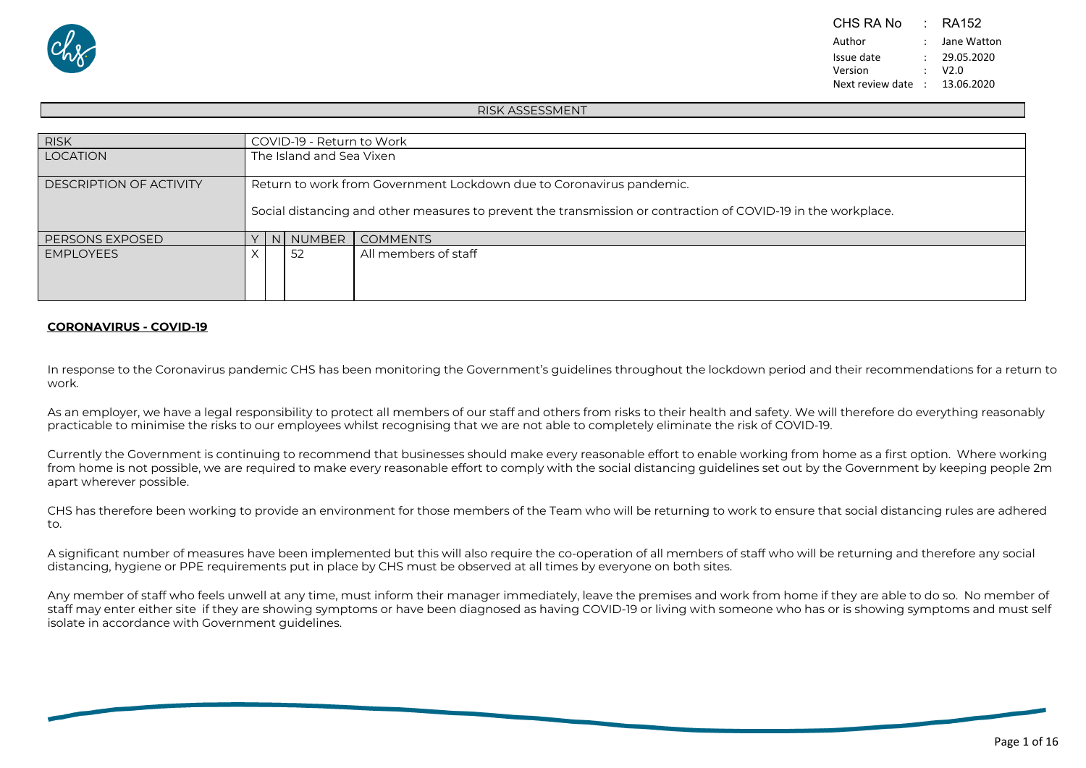

#### RISK ASSESSMENT

| <b>RISK</b>                    | COVID-19 - Return to Work                                                                                     |
|--------------------------------|---------------------------------------------------------------------------------------------------------------|
| <b>LOCATION</b>                | The Island and Sea Vixen                                                                                      |
| <b>DESCRIPTION OF ACTIVITY</b> | Return to work from Government Lockdown due to Coronavirus pandemic.                                          |
|                                | Social distancing and other measures to prevent the transmission or contraction of COVID-19 in the workplace. |
| PERSONS EXPOSED                | N NUMBER COMMENTS                                                                                             |
| <b>EMPLOYEES</b>               | All members of staff<br>-52                                                                                   |

### **CORONAVIRUS - COVID-19**

In response to the Coronavirus pandemic CHS has been monitoring the Government's guidelines throughout the lockdown period and their recommendations for a return to work.

As an employer, we have a legal responsibility to protect all members of our staff and others from risks to their health and safety. We will therefore do everything reasonably practicable to minimise the risks to our employees whilst recognising that we are not able to completely eliminate the risk of COVID-19.

Currently the Government is continuing to recommend that businesses should make every reasonable effort to enable working from home as a first option. Where working from home is not possible, we are required to make every reasonable effort to comply with the social distancing guidelines set out by the Government by keeping people 2m apart wherever possible.

CHS has therefore been working to provide an environment for those members of the Team who will be returning to work to ensure that social distancing rules are adhered to.

A significant number of measures have been implemented but this will also require the co-operation of all members of staff who will be returning and therefore any social distancing, hygiene or PPE requirements put in place by CHS must be observed at all times by everyone on both sites.

Any member of staff who feels unwell at any time, must inform their manager immediately, leave the premises and work from home if they are able to do so. No member of staff may enter either site if they are showing symptoms or have been diagnosed as having COVID-19 or living with someone who has or is showing symptoms and must self isolate in accordance with Government guidelines.

Page 1 of 16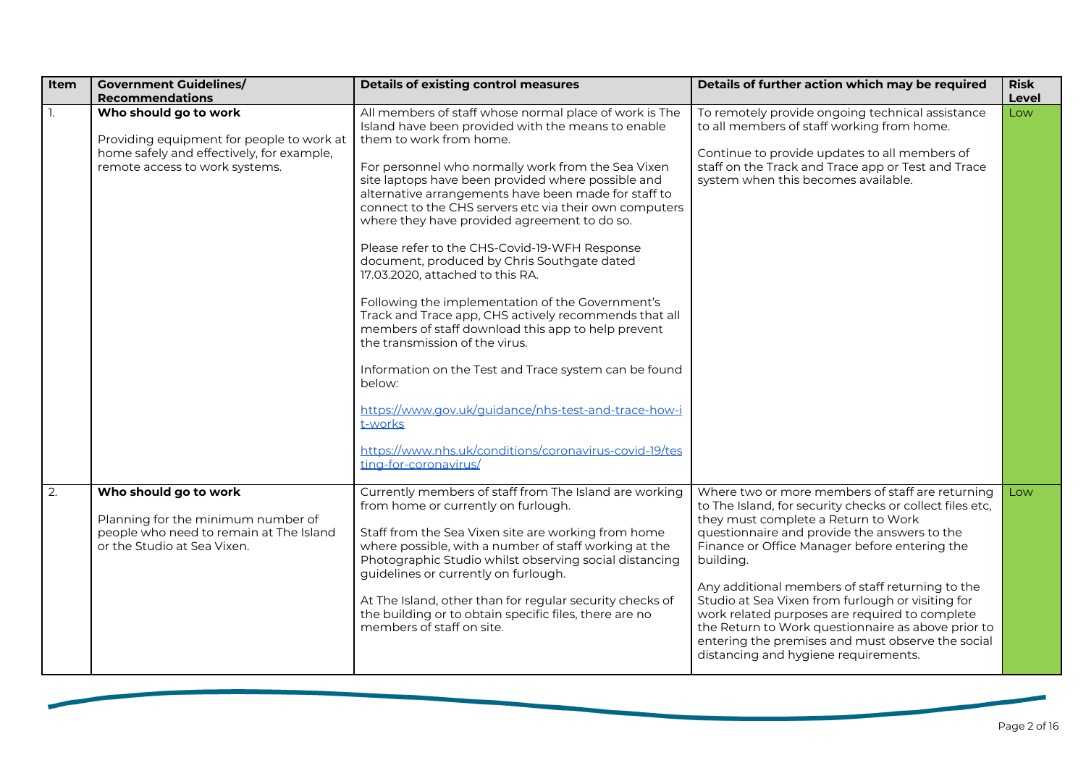| Item | <b>Government Guidelines/</b><br><b>Recommendations</b>                                                                                           | <b>Details of existing control measures</b>                                                                                                                                                                                                                                                                                                                                                                                                                                                                                                                                                                                                                                                                                                                                                                                                                                                                                                                                             | Details of further action which may be required                                                                                                                                                                                                                                                                                                                                                                                                                                                                                                                                 | <b>Risk</b><br>Level |
|------|---------------------------------------------------------------------------------------------------------------------------------------------------|-----------------------------------------------------------------------------------------------------------------------------------------------------------------------------------------------------------------------------------------------------------------------------------------------------------------------------------------------------------------------------------------------------------------------------------------------------------------------------------------------------------------------------------------------------------------------------------------------------------------------------------------------------------------------------------------------------------------------------------------------------------------------------------------------------------------------------------------------------------------------------------------------------------------------------------------------------------------------------------------|---------------------------------------------------------------------------------------------------------------------------------------------------------------------------------------------------------------------------------------------------------------------------------------------------------------------------------------------------------------------------------------------------------------------------------------------------------------------------------------------------------------------------------------------------------------------------------|----------------------|
|      | Who should go to work<br>Providing equipment for people to work at<br>home safely and effectively, for example,<br>remote access to work systems. | All members of staff whose normal place of work is The<br>Island have been provided with the means to enable<br>them to work from home.<br>For personnel who normally work from the Sea Vixen<br>site laptops have been provided where possible and<br>alternative arrangements have been made for staff to<br>connect to the CHS servers etc via their own computers<br>where they have provided agreement to do so.<br>Please refer to the CHS-Covid-19-WFH Response<br>document, produced by Chris Southgate dated<br>17.03.2020, attached to this RA.<br>Following the implementation of the Government's<br>Track and Trace app, CHS actively recommends that all<br>members of staff download this app to help prevent<br>the transmission of the virus.<br>Information on the Test and Trace system can be found<br>below:<br>https://www.gov.uk/guidance/nhs-test-and-trace-how-i<br>t-works<br>https://www.nhs.uk/conditions/coronavirus-covid-19/tes<br>ting-for-coronavirus/ | To remotely provide ongoing technical assistance<br>to all members of staff working from home.<br>Continue to provide updates to all members of<br>staff on the Track and Trace app or Test and Trace<br>system when this becomes available.                                                                                                                                                                                                                                                                                                                                    | Low                  |
| 2.   | Who should go to work<br>Planning for the minimum number of<br>people who need to remain at The Island<br>or the Studio at Sea Vixen.             | Currently members of staff from The Island are working<br>from home or currently on furlough.<br>Staff from the Sea Vixen site are working from home<br>where possible, with a number of staff working at the<br>Photographic Studio whilst observing social distancing<br>guidelines or currently on furlough.<br>At The Island, other than for regular security checks of<br>the building or to obtain specific files, there are no<br>members of staff on site.                                                                                                                                                                                                                                                                                                                                                                                                                                                                                                                      | Where two or more members of staff are returning<br>to The Island, for security checks or collect files etc,<br>they must complete a Return to Work<br>questionnaire and provide the answers to the<br>Finance or Office Manager before entering the<br>building.<br>Any additional members of staff returning to the<br>Studio at Sea Vixen from furlough or visiting for<br>work related purposes are required to complete<br>the Return to Work questionnaire as above prior to<br>entering the premises and must observe the social<br>distancing and hygiene requirements. | Low                  |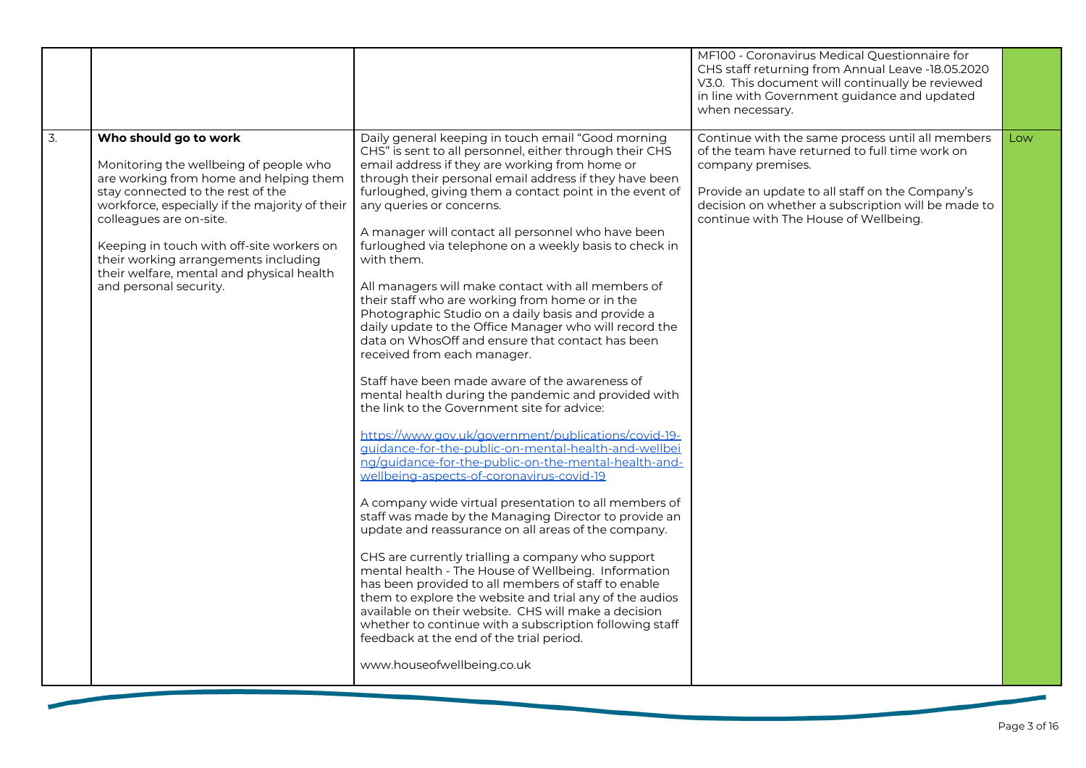|    |                                                                                                                                                                                                                                                                                                                                                                                         |                                                                                                                                                                                                                                                                                                                                                                                                                                                                                                                                                                                                                                                                                                                                                                                                                                                                                                                                                                                                                                                                                                                                                                                                                                                                                                                                                                                                                                                                                                                                                                                                                                                                                                                                             | MF100 - Coronavirus Medical Questionnaire for<br>CHS staff returning from Annual Leave -18.05.2020<br>V3.0. This document will continually be reviewed<br>in line with Government guidance and updated<br>when necessary.                                                 |     |
|----|-----------------------------------------------------------------------------------------------------------------------------------------------------------------------------------------------------------------------------------------------------------------------------------------------------------------------------------------------------------------------------------------|---------------------------------------------------------------------------------------------------------------------------------------------------------------------------------------------------------------------------------------------------------------------------------------------------------------------------------------------------------------------------------------------------------------------------------------------------------------------------------------------------------------------------------------------------------------------------------------------------------------------------------------------------------------------------------------------------------------------------------------------------------------------------------------------------------------------------------------------------------------------------------------------------------------------------------------------------------------------------------------------------------------------------------------------------------------------------------------------------------------------------------------------------------------------------------------------------------------------------------------------------------------------------------------------------------------------------------------------------------------------------------------------------------------------------------------------------------------------------------------------------------------------------------------------------------------------------------------------------------------------------------------------------------------------------------------------------------------------------------------------|---------------------------------------------------------------------------------------------------------------------------------------------------------------------------------------------------------------------------------------------------------------------------|-----|
| 3. | Who should go to work<br>Monitoring the wellbeing of people who<br>are working from home and helping them<br>stay connected to the rest of the<br>workforce, especially if the majority of their<br>colleagues are on-site.<br>Keeping in touch with off-site workers on<br>their working arrangements including<br>their welfare, mental and physical health<br>and personal security. | Daily general keeping in touch email "Good morning<br>CHS" is sent to all personnel, either through their CHS<br>email address if they are working from home or<br>through their personal email address if they have been<br>furloughed, giving them a contact point in the event of<br>any queries or concerns.<br>A manager will contact all personnel who have been<br>furloughed via telephone on a weekly basis to check in<br>with them.<br>All managers will make contact with all members of<br>their staff who are working from home or in the<br>Photographic Studio on a daily basis and provide a<br>daily update to the Office Manager who will record the<br>data on WhosOff and ensure that contact has been<br>received from each manager.<br>Staff have been made aware of the awareness of<br>mental health during the pandemic and provided with<br>the link to the Government site for advice:<br>https://www.gov.uk/government/publications/covid-19-<br>quidance-for-the-public-on-mental-health-and-wellbei<br>ng/quidance-for-the-public-on-the-mental-health-and-<br>wellbeing-aspects-of-coronavirus-covid-19<br>A company wide virtual presentation to all members of<br>staff was made by the Managing Director to provide an<br>update and reassurance on all areas of the company.<br>CHS are currently trialling a company who support<br>mental health - The House of Wellbeing. Information<br>has been provided to all members of staff to enable<br>them to explore the website and trial any of the audios<br>available on their website. CHS will make a decision<br>whether to continue with a subscription following staff<br>feedback at the end of the trial period.<br>www.houseofwellbeing.co.uk | Continue with the same process until all members<br>of the team have returned to full time work on<br>company premises.<br>Provide an update to all staff on the Company's<br>decision on whether a subscription will be made to<br>continue with The House of Wellbeing. | Low |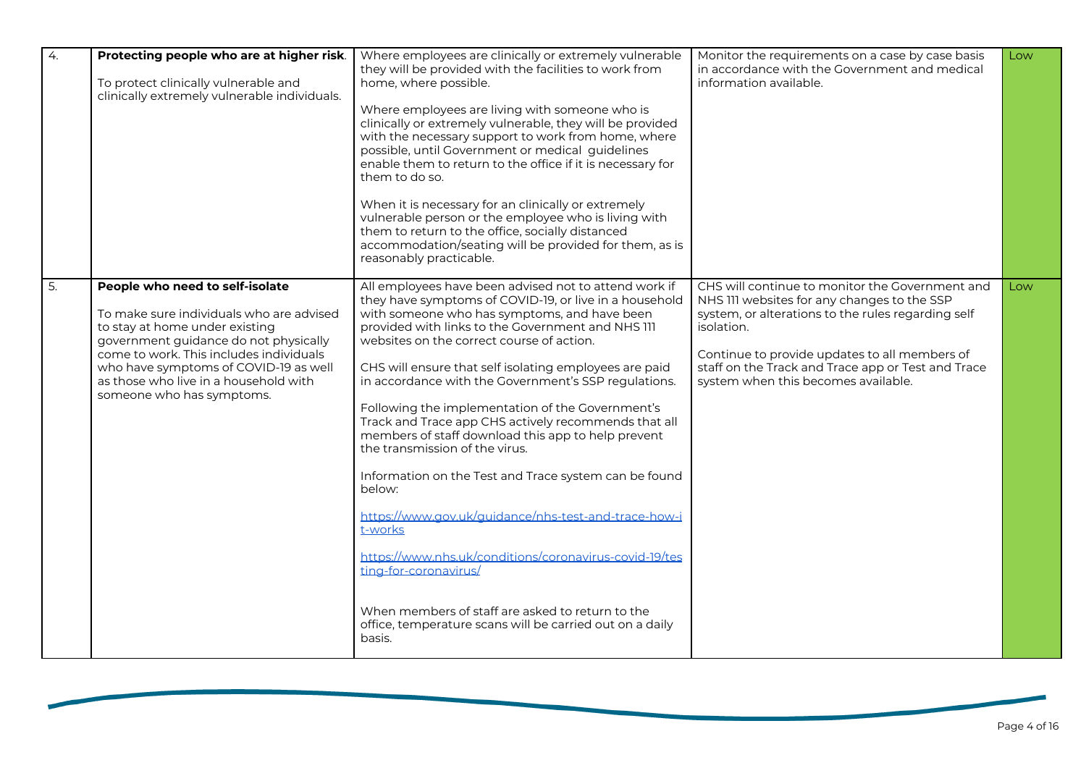| 4. | Protecting people who are at higher risk.<br>To protect clinically vulnerable and<br>clinically extremely vulnerable individuals.                                                                                                                                                                                | Where employees are clinically or extremely vulnerable<br>they will be provided with the facilities to work from<br>home, where possible.<br>Where employees are living with someone who is<br>clinically or extremely vulnerable, they will be provided<br>with the necessary support to work from home, where<br>possible, until Government or medical guidelines<br>enable them to return to the office if it is necessary for<br>them to do so.<br>When it is necessary for an clinically or extremely<br>vulnerable person or the employee who is living with<br>them to return to the office, socially distanced<br>accommodation/seating will be provided for them, as is<br>reasonably practicable.                                                                                                                                                                                                                                | Monitor the requirements on a case by case basis<br>in accordance with the Government and medical<br>information available.                                                                                                                                                                                      | Low |
|----|------------------------------------------------------------------------------------------------------------------------------------------------------------------------------------------------------------------------------------------------------------------------------------------------------------------|--------------------------------------------------------------------------------------------------------------------------------------------------------------------------------------------------------------------------------------------------------------------------------------------------------------------------------------------------------------------------------------------------------------------------------------------------------------------------------------------------------------------------------------------------------------------------------------------------------------------------------------------------------------------------------------------------------------------------------------------------------------------------------------------------------------------------------------------------------------------------------------------------------------------------------------------|------------------------------------------------------------------------------------------------------------------------------------------------------------------------------------------------------------------------------------------------------------------------------------------------------------------|-----|
| 5. | People who need to self-isolate<br>To make sure individuals who are advised<br>to stay at home under existing<br>government guidance do not physically<br>come to work. This includes individuals<br>who have symptoms of COVID-19 as well<br>as those who live in a household with<br>someone who has symptoms. | All employees have been advised not to attend work if<br>they have symptoms of COVID-19, or live in a household<br>with someone who has symptoms, and have been<br>provided with links to the Government and NHS III<br>websites on the correct course of action.<br>CHS will ensure that self isolating employees are paid<br>in accordance with the Government's SSP regulations.<br>Following the implementation of the Government's<br>Track and Trace app CHS actively recommends that all<br>members of staff download this app to help prevent<br>the transmission of the virus.<br>Information on the Test and Trace system can be found<br>below:<br>https://www.gov.uk/guidance/nhs-test-and-trace-how-i<br>t-works<br>https://www.nhs.uk/conditions/coronavirus-covid-19/tes<br>ting-for-coronavirus/<br>When members of staff are asked to return to the<br>office, temperature scans will be carried out on a daily<br>basis. | CHS will continue to monitor the Government and<br>NHS III websites for any changes to the SSP<br>system, or alterations to the rules regarding self<br>isolation.<br>Continue to provide updates to all members of<br>staff on the Track and Trace app or Test and Trace<br>system when this becomes available. | Low |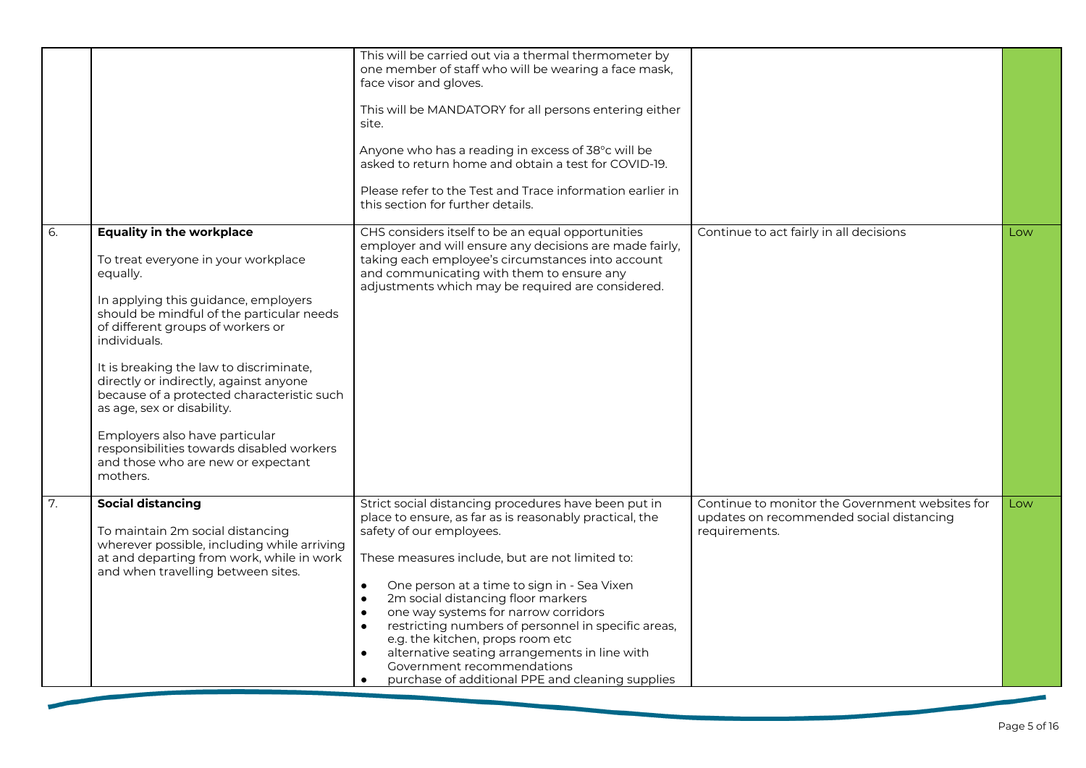|    |                                                                                                                                                                                                                                                                                                                                                                                                                                                                                                                                 | This will be carried out via a thermal thermometer by<br>one member of staff who will be wearing a face mask,<br>face visor and gloves.<br>This will be MANDATORY for all persons entering either<br>site.<br>Anyone who has a reading in excess of 38°c will be<br>asked to return home and obtain a test for COVID-19.<br>Please refer to the Test and Trace information earlier in<br>this section for further details.                                                                                                                                                                                                              |                                                                                                              |     |
|----|---------------------------------------------------------------------------------------------------------------------------------------------------------------------------------------------------------------------------------------------------------------------------------------------------------------------------------------------------------------------------------------------------------------------------------------------------------------------------------------------------------------------------------|-----------------------------------------------------------------------------------------------------------------------------------------------------------------------------------------------------------------------------------------------------------------------------------------------------------------------------------------------------------------------------------------------------------------------------------------------------------------------------------------------------------------------------------------------------------------------------------------------------------------------------------------|--------------------------------------------------------------------------------------------------------------|-----|
| 6. | <b>Equality in the workplace</b><br>To treat everyone in your workplace<br>equally.<br>In applying this guidance, employers<br>should be mindful of the particular needs<br>of different groups of workers or<br>individuals.<br>It is breaking the law to discriminate,<br>directly or indirectly, against anyone<br>because of a protected characteristic such<br>as age, sex or disability.<br>Employers also have particular<br>responsibilities towards disabled workers<br>and those who are new or expectant<br>mothers. | CHS considers itself to be an equal opportunities<br>employer and will ensure any decisions are made fairly,<br>taking each employee's circumstances into account<br>and communicating with them to ensure any<br>adjustments which may be required are considered.                                                                                                                                                                                                                                                                                                                                                                     | Continue to act fairly in all decisions                                                                      | Low |
| 7. | <b>Social distancing</b><br>To maintain 2m social distancing<br>wherever possible, including while arriving<br>at and departing from work, while in work<br>and when travelling between sites.                                                                                                                                                                                                                                                                                                                                  | Strict social distancing procedures have been put in<br>place to ensure, as far as is reasonably practical, the<br>safety of our employees.<br>These measures include, but are not limited to:<br>$\bullet$<br>One person at a time to sign in - Sea Vixen<br>2m social distancing floor markers<br>$\bullet$<br>one way systems for narrow corridors<br>$\bullet$<br>restricting numbers of personnel in specific areas,<br>$\bullet$<br>e.g. the kitchen, props room etc<br>alternative seating arrangements in line with<br>$\bullet$<br>Government recommendations<br>purchase of additional PPE and cleaning supplies<br>$\bullet$ | Continue to monitor the Government websites for<br>updates on recommended social distancing<br>requirements. | Low |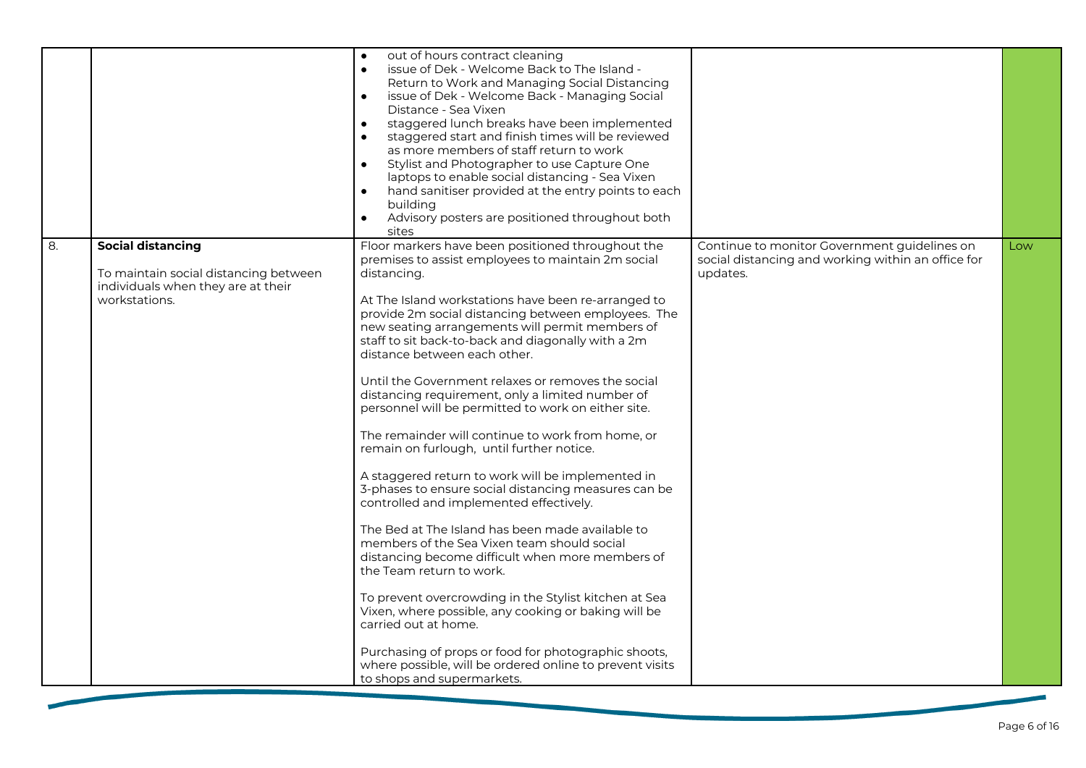|    |                                                                                                                   | out of hours contract cleaning<br>$\bullet$<br>issue of Dek - Welcome Back to The Island -<br>$\bullet$<br>Return to Work and Managing Social Distancing<br>issue of Dek - Welcome Back - Managing Social<br>$\bullet$<br>Distance - Sea Vixen<br>staggered lunch breaks have been implemented<br>$\bullet$<br>staggered start and finish times will be reviewed<br>$\bullet$<br>as more members of staff return to work<br>Stylist and Photographer to use Capture One<br>$\bullet$<br>laptops to enable social distancing - Sea Vixen<br>hand sanitiser provided at the entry points to each<br>$\bullet$<br>building<br>Advisory posters are positioned throughout both<br>$\bullet$<br>sites                                                                                                                                                                                                                                                                                                                                                                                                                                                                                                                                                                                       |                                                                                                                |     |
|----|-------------------------------------------------------------------------------------------------------------------|----------------------------------------------------------------------------------------------------------------------------------------------------------------------------------------------------------------------------------------------------------------------------------------------------------------------------------------------------------------------------------------------------------------------------------------------------------------------------------------------------------------------------------------------------------------------------------------------------------------------------------------------------------------------------------------------------------------------------------------------------------------------------------------------------------------------------------------------------------------------------------------------------------------------------------------------------------------------------------------------------------------------------------------------------------------------------------------------------------------------------------------------------------------------------------------------------------------------------------------------------------------------------------------|----------------------------------------------------------------------------------------------------------------|-----|
| 8. | Social distancing<br>To maintain social distancing between<br>individuals when they are at their<br>workstations. | Floor markers have been positioned throughout the<br>premises to assist employees to maintain 2m social<br>distancing.<br>At The Island workstations have been re-arranged to<br>provide 2m social distancing between employees. The<br>new seating arrangements will permit members of<br>staff to sit back-to-back and diagonally with a 2m<br>distance between each other.<br>Until the Government relaxes or removes the social<br>distancing requirement, only a limited number of<br>personnel will be permitted to work on either site.<br>The remainder will continue to work from home, or<br>remain on furlough, until further notice.<br>A staggered return to work will be implemented in<br>3-phases to ensure social distancing measures can be<br>controlled and implemented effectively.<br>The Bed at The Island has been made available to<br>members of the Sea Vixen team should social<br>distancing become difficult when more members of<br>the Team return to work.<br>To prevent overcrowding in the Stylist kitchen at Sea<br>Vixen, where possible, any cooking or baking will be<br>carried out at home.<br>Purchasing of props or food for photographic shoots,<br>where possible, will be ordered online to prevent visits<br>to shops and supermarkets. | Continue to monitor Government guidelines on<br>social distancing and working within an office for<br>updates. | Low |
|    |                                                                                                                   |                                                                                                                                                                                                                                                                                                                                                                                                                                                                                                                                                                                                                                                                                                                                                                                                                                                                                                                                                                                                                                                                                                                                                                                                                                                                                        |                                                                                                                |     |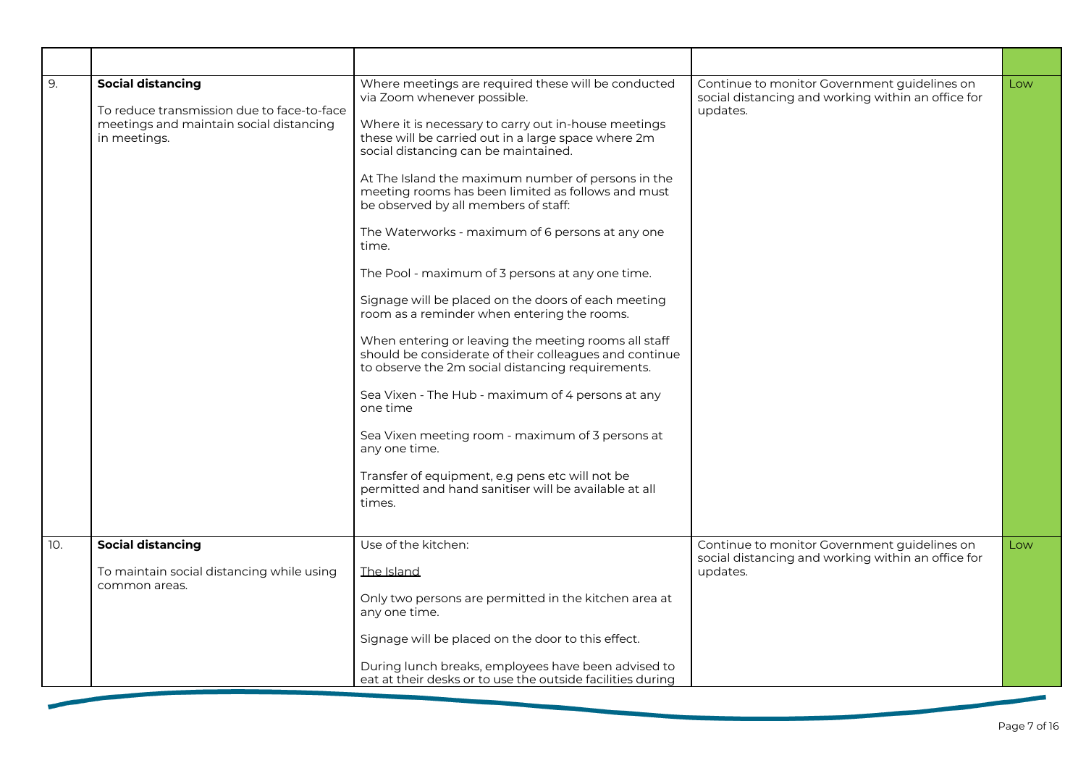| 9.  | <b>Social distancing</b><br>To reduce transmission due to face-to-face<br>meetings and maintain social distancing<br>in meetings. | Where meetings are required these will be conducted<br>via Zoom whenever possible.<br>Where it is necessary to carry out in-house meetings<br>these will be carried out in a large space where 2m<br>social distancing can be maintained.<br>At The Island the maximum number of persons in the<br>meeting rooms has been limited as follows and must<br>be observed by all members of staff:<br>The Waterworks - maximum of 6 persons at any one<br>time.<br>The Pool - maximum of 3 persons at any one time.<br>Signage will be placed on the doors of each meeting<br>room as a reminder when entering the rooms.<br>When entering or leaving the meeting rooms all staff<br>should be considerate of their colleagues and continue<br>to observe the 2m social distancing requirements.<br>Sea Vixen - The Hub - maximum of 4 persons at any<br>one time<br>Sea Vixen meeting room - maximum of 3 persons at<br>any one time.<br>Transfer of equipment, e.g pens etc will not be<br>permitted and hand sanitiser will be available at all<br>times. | Continue to monitor Government guidelines on<br>social distancing and working within an office for<br>updates. | Low |
|-----|-----------------------------------------------------------------------------------------------------------------------------------|---------------------------------------------------------------------------------------------------------------------------------------------------------------------------------------------------------------------------------------------------------------------------------------------------------------------------------------------------------------------------------------------------------------------------------------------------------------------------------------------------------------------------------------------------------------------------------------------------------------------------------------------------------------------------------------------------------------------------------------------------------------------------------------------------------------------------------------------------------------------------------------------------------------------------------------------------------------------------------------------------------------------------------------------------------|----------------------------------------------------------------------------------------------------------------|-----|
| 10. | <b>Social distancing</b><br>To maintain social distancing while using<br>common areas.                                            | Use of the kitchen:<br>The Island<br>Only two persons are permitted in the kitchen area at<br>any one time.<br>Signage will be placed on the door to this effect.<br>During lunch breaks, employees have been advised to<br>eat at their desks or to use the outside facilities during                                                                                                                                                                                                                                                                                                                                                                                                                                                                                                                                                                                                                                                                                                                                                                  | Continue to monitor Government guidelines on<br>social distancing and working within an office for<br>updates. | Low |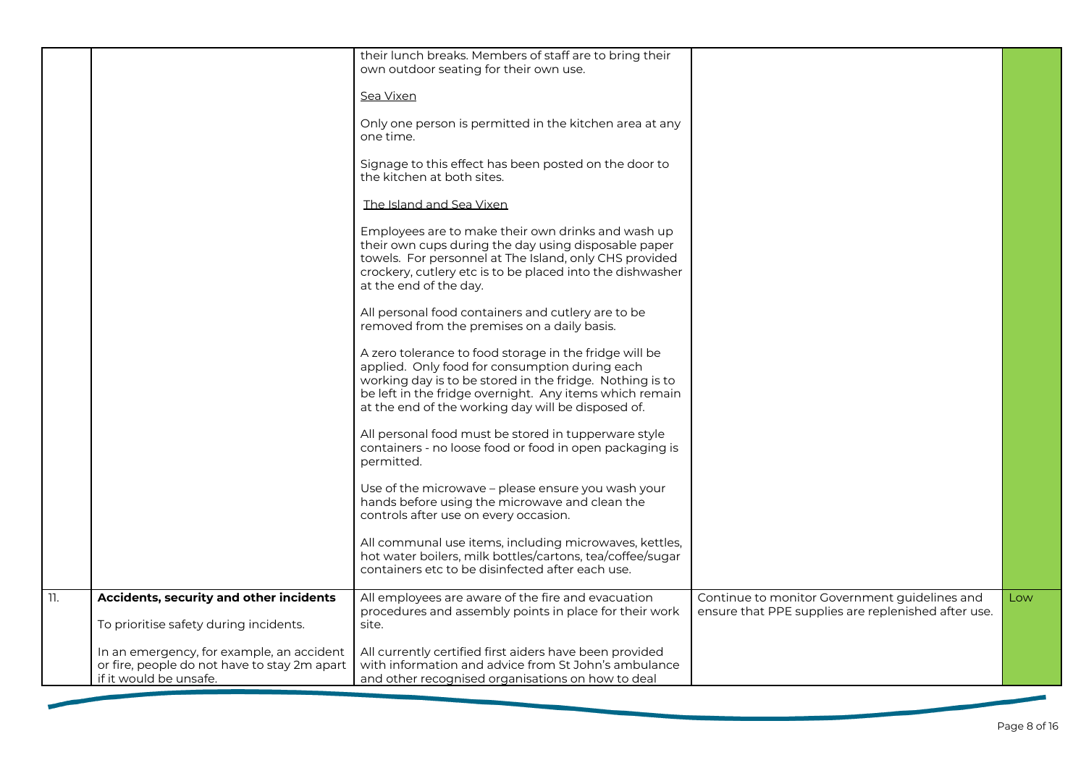|     |                                                                                                                     | their lunch breaks. Members of staff are to bring their<br>own outdoor seating for their own use.<br>Sea Vixen<br>Only one person is permitted in the kitchen area at any<br>one time.<br>Signage to this effect has been posted on the door to<br>the kitchen at both sites.<br>The Island and Sea Vixen<br>Employees are to make their own drinks and wash up<br>their own cups during the day using disposable paper<br>towels. For personnel at The Island, only CHS provided<br>crockery, cutlery etc is to be placed into the dishwasher<br>at the end of the day.<br>All personal food containers and cutlery are to be<br>removed from the premises on a daily basis.<br>A zero tolerance to food storage in the fridge will be<br>applied. Only food for consumption during each<br>working day is to be stored in the fridge. Nothing is to<br>be left in the fridge overnight. Any items which remain<br>at the end of the working day will be disposed of.<br>All personal food must be stored in tupperware style<br>containers - no loose food or food in open packaging is<br>permitted.<br>Use of the microwave - please ensure you wash your<br>hands before using the microwave and clean the<br>controls after use on every occasion.<br>All communal use items, including microwaves, kettles,<br>hot water boilers, milk bottles/cartons, tea/coffee/sugar<br>containers etc to be disinfected after each use. |                                                                                                      |     |
|-----|---------------------------------------------------------------------------------------------------------------------|-------------------------------------------------------------------------------------------------------------------------------------------------------------------------------------------------------------------------------------------------------------------------------------------------------------------------------------------------------------------------------------------------------------------------------------------------------------------------------------------------------------------------------------------------------------------------------------------------------------------------------------------------------------------------------------------------------------------------------------------------------------------------------------------------------------------------------------------------------------------------------------------------------------------------------------------------------------------------------------------------------------------------------------------------------------------------------------------------------------------------------------------------------------------------------------------------------------------------------------------------------------------------------------------------------------------------------------------------------------------------------------------------------------------------------------|------------------------------------------------------------------------------------------------------|-----|
|     |                                                                                                                     |                                                                                                                                                                                                                                                                                                                                                                                                                                                                                                                                                                                                                                                                                                                                                                                                                                                                                                                                                                                                                                                                                                                                                                                                                                                                                                                                                                                                                                     |                                                                                                      |     |
| 11. | Accidents, security and other incidents<br>To prioritise safety during incidents.                                   | All employees are aware of the fire and evacuation<br>procedures and assembly points in place for their work<br>site.                                                                                                                                                                                                                                                                                                                                                                                                                                                                                                                                                                                                                                                                                                                                                                                                                                                                                                                                                                                                                                                                                                                                                                                                                                                                                                               | Continue to monitor Government guidelines and<br>ensure that PPE supplies are replenished after use. | Low |
|     | In an emergency, for example, an accident<br>or fire, people do not have to stay 2m apart<br>if it would be unsafe. | All currently certified first aiders have been provided<br>with information and advice from St John's ambulance<br>and other recognised organisations on how to deal                                                                                                                                                                                                                                                                                                                                                                                                                                                                                                                                                                                                                                                                                                                                                                                                                                                                                                                                                                                                                                                                                                                                                                                                                                                                |                                                                                                      |     |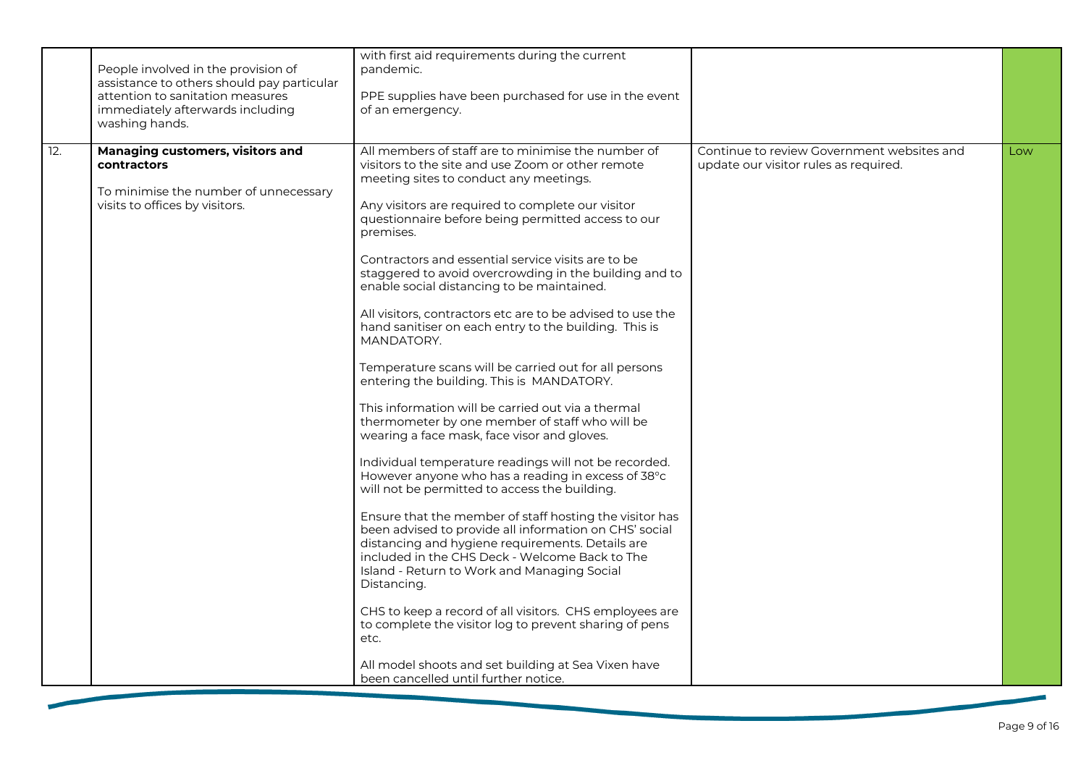|     | People involved in the provision of<br>assistance to others should pay particular<br>attention to sanitation measures<br>immediately afterwards including<br>washing hands. | with first aid requirements during the current<br>pandemic.<br>PPE supplies have been purchased for use in the event<br>of an emergency.                                                                                                                                                                                                                                                                                                                                                                                                                                                                                                                                                                                                                                                                                                                                                                                                                                                                                                                                                                                                                                                                                                                                                                                                                                                                                                                                                                                       |                                                                                     |     |
|-----|-----------------------------------------------------------------------------------------------------------------------------------------------------------------------------|--------------------------------------------------------------------------------------------------------------------------------------------------------------------------------------------------------------------------------------------------------------------------------------------------------------------------------------------------------------------------------------------------------------------------------------------------------------------------------------------------------------------------------------------------------------------------------------------------------------------------------------------------------------------------------------------------------------------------------------------------------------------------------------------------------------------------------------------------------------------------------------------------------------------------------------------------------------------------------------------------------------------------------------------------------------------------------------------------------------------------------------------------------------------------------------------------------------------------------------------------------------------------------------------------------------------------------------------------------------------------------------------------------------------------------------------------------------------------------------------------------------------------------|-------------------------------------------------------------------------------------|-----|
| 12. | Managing customers, visitors and<br>contractors<br>To minimise the number of unnecessary<br>visits to offices by visitors.                                                  | All members of staff are to minimise the number of<br>visitors to the site and use Zoom or other remote<br>meeting sites to conduct any meetings.<br>Any visitors are required to complete our visitor<br>questionnaire before being permitted access to our<br>premises.<br>Contractors and essential service visits are to be<br>staggered to avoid overcrowding in the building and to<br>enable social distancing to be maintained.<br>All visitors, contractors etc are to be advised to use the<br>hand sanitiser on each entry to the building. This is<br>MANDATORY.<br>Temperature scans will be carried out for all persons<br>entering the building. This is MANDATORY.<br>This information will be carried out via a thermal<br>thermometer by one member of staff who will be<br>wearing a face mask, face visor and gloves.<br>Individual temperature readings will not be recorded.<br>However anyone who has a reading in excess of 38°c<br>will not be permitted to access the building.<br>Ensure that the member of staff hosting the visitor has<br>been advised to provide all information on CHS' social<br>distancing and hygiene requirements. Details are<br>included in the CHS Deck - Welcome Back to The<br>Island - Return to Work and Managing Social<br>Distancing.<br>CHS to keep a record of all visitors. CHS employees are<br>to complete the visitor log to prevent sharing of pens<br>etc.<br>All model shoots and set building at Sea Vixen have<br>been cancelled until further notice. | Continue to review Government websites and<br>update our visitor rules as required. | Low |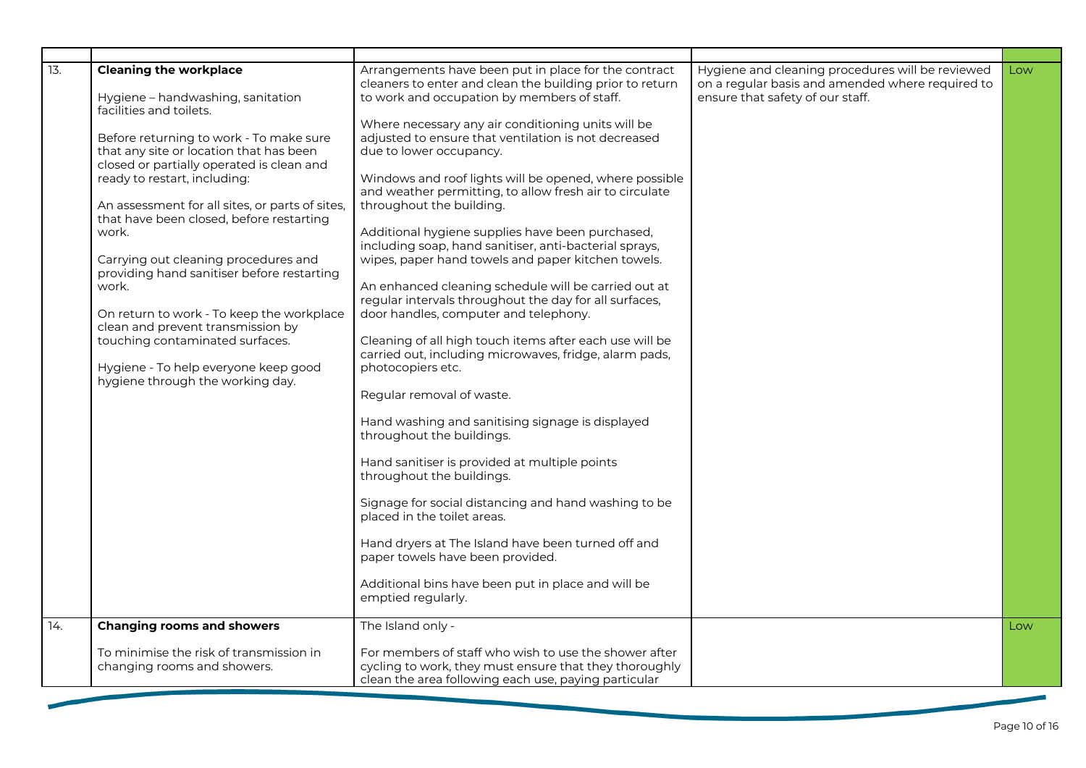| $\overline{13}$ . | <b>Cleaning the workplace</b><br>Hygiene - handwashing, sanitation<br>facilities and toilets.<br>Before returning to work - To make sure<br>that any site or location that has been<br>closed or partially operated is clean and<br>ready to restart, including:<br>An assessment for all sites, or parts of sites,<br>that have been closed, before restarting<br>work.<br>Carrying out cleaning procedures and<br>providing hand sanitiser before restarting<br>work.<br>On return to work - To keep the workplace<br>clean and prevent transmission by<br>touching contaminated surfaces.<br>Hygiene - To help everyone keep good<br>hygiene through the working day. | Arrangements have been put in place for the contract<br>cleaners to enter and clean the building prior to return<br>to work and occupation by members of staff.<br>Where necessary any air conditioning units will be<br>adjusted to ensure that ventilation is not decreased<br>due to lower occupancy.<br>Windows and roof lights will be opened, where possible<br>and weather permitting, to allow fresh air to circulate<br>throughout the building.<br>Additional hygiene supplies have been purchased,<br>including soap, hand sanitiser, anti-bacterial sprays,<br>wipes, paper hand towels and paper kitchen towels.<br>An enhanced cleaning schedule will be carried out at<br>regular intervals throughout the day for all surfaces,<br>door handles, computer and telephony.<br>Cleaning of all high touch items after each use will be<br>carried out, including microwaves, fridge, alarm pads,<br>photocopiers etc.<br>Regular removal of waste.<br>Hand washing and sanitising signage is displayed<br>throughout the buildings.<br>Hand sanitiser is provided at multiple points<br>throughout the buildings.<br>Signage for social distancing and hand washing to be<br>placed in the toilet areas.<br>Hand dryers at The Island have been turned off and<br>paper towels have been provided.<br>Additional bins have been put in place and will be<br>emptied regularly. | Hygiene and cleaning procedures will be reviewed<br>on a regular basis and amended where required to<br>ensure that safety of our staff. | Low |
|-------------------|--------------------------------------------------------------------------------------------------------------------------------------------------------------------------------------------------------------------------------------------------------------------------------------------------------------------------------------------------------------------------------------------------------------------------------------------------------------------------------------------------------------------------------------------------------------------------------------------------------------------------------------------------------------------------|---------------------------------------------------------------------------------------------------------------------------------------------------------------------------------------------------------------------------------------------------------------------------------------------------------------------------------------------------------------------------------------------------------------------------------------------------------------------------------------------------------------------------------------------------------------------------------------------------------------------------------------------------------------------------------------------------------------------------------------------------------------------------------------------------------------------------------------------------------------------------------------------------------------------------------------------------------------------------------------------------------------------------------------------------------------------------------------------------------------------------------------------------------------------------------------------------------------------------------------------------------------------------------------------------------------------------------------------------------------------------------------------|------------------------------------------------------------------------------------------------------------------------------------------|-----|
| 14.               | <b>Changing rooms and showers</b>                                                                                                                                                                                                                                                                                                                                                                                                                                                                                                                                                                                                                                        | The Island only -                                                                                                                                                                                                                                                                                                                                                                                                                                                                                                                                                                                                                                                                                                                                                                                                                                                                                                                                                                                                                                                                                                                                                                                                                                                                                                                                                                           |                                                                                                                                          | Low |
|                   | To minimise the risk of transmission in<br>changing rooms and showers.                                                                                                                                                                                                                                                                                                                                                                                                                                                                                                                                                                                                   | For members of staff who wish to use the shower after<br>cycling to work, they must ensure that they thoroughly<br>clean the area following each use, paying particular                                                                                                                                                                                                                                                                                                                                                                                                                                                                                                                                                                                                                                                                                                                                                                                                                                                                                                                                                                                                                                                                                                                                                                                                                     |                                                                                                                                          |     |
|                   |                                                                                                                                                                                                                                                                                                                                                                                                                                                                                                                                                                                                                                                                          |                                                                                                                                                                                                                                                                                                                                                                                                                                                                                                                                                                                                                                                                                                                                                                                                                                                                                                                                                                                                                                                                                                                                                                                                                                                                                                                                                                                             |                                                                                                                                          |     |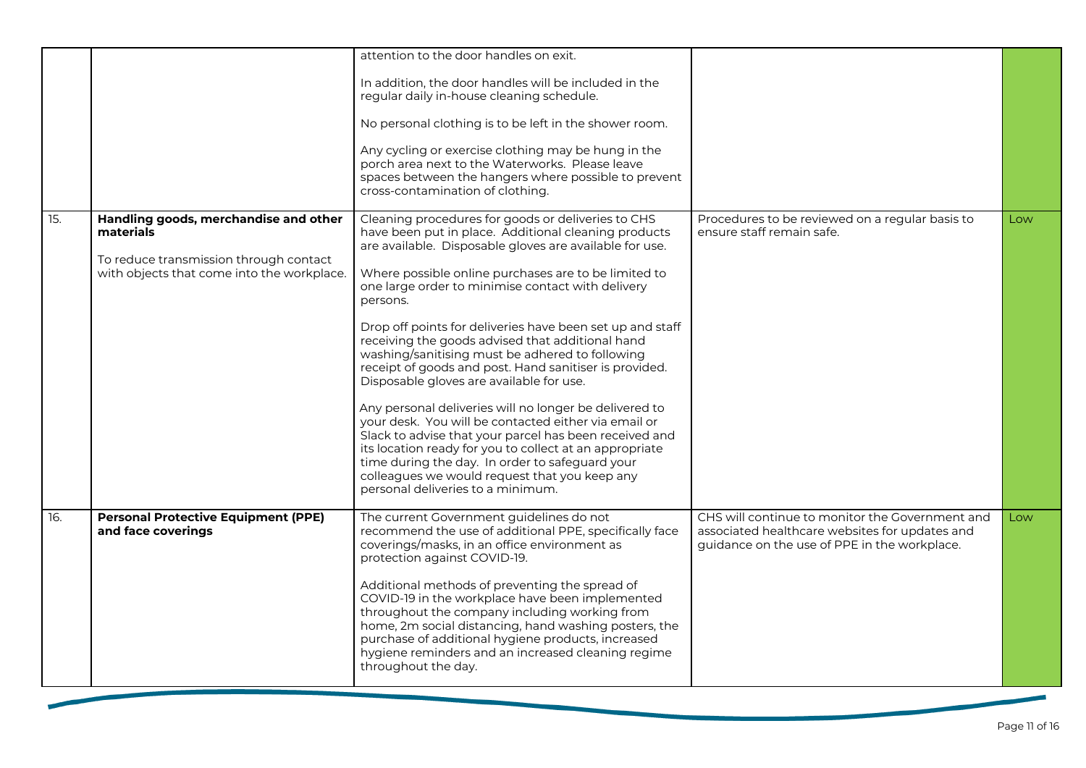|                   |                                                                                      | attention to the door handles on exit.                                                                                                                                                                                                                                                                                                                                       |                                                                                                                                                   |     |
|-------------------|--------------------------------------------------------------------------------------|------------------------------------------------------------------------------------------------------------------------------------------------------------------------------------------------------------------------------------------------------------------------------------------------------------------------------------------------------------------------------|---------------------------------------------------------------------------------------------------------------------------------------------------|-----|
|                   |                                                                                      | In addition, the door handles will be included in the<br>regular daily in-house cleaning schedule.                                                                                                                                                                                                                                                                           |                                                                                                                                                   |     |
|                   |                                                                                      | No personal clothing is to be left in the shower room.                                                                                                                                                                                                                                                                                                                       |                                                                                                                                                   |     |
|                   |                                                                                      | Any cycling or exercise clothing may be hung in the<br>porch area next to the Waterworks. Please leave<br>spaces between the hangers where possible to prevent<br>cross-contamination of clothing.                                                                                                                                                                           |                                                                                                                                                   |     |
| $\overline{15}$ . | Handling goods, merchandise and other<br>materials                                   | Cleaning procedures for goods or deliveries to CHS<br>have been put in place. Additional cleaning products<br>are available. Disposable gloves are available for use.                                                                                                                                                                                                        | Procedures to be reviewed on a regular basis to<br>ensure staff remain safe.                                                                      | Low |
|                   | To reduce transmission through contact<br>with objects that come into the workplace. | Where possible online purchases are to be limited to<br>one large order to minimise contact with delivery<br>persons.                                                                                                                                                                                                                                                        |                                                                                                                                                   |     |
|                   |                                                                                      | Drop off points for deliveries have been set up and staff<br>receiving the goods advised that additional hand<br>washing/sanitising must be adhered to following<br>receipt of goods and post. Hand sanitiser is provided.<br>Disposable gloves are available for use.                                                                                                       |                                                                                                                                                   |     |
|                   |                                                                                      | Any personal deliveries will no longer be delivered to<br>your desk. You will be contacted either via email or<br>Slack to advise that your parcel has been received and<br>its location ready for you to collect at an appropriate<br>time during the day. In order to safeguard your<br>colleagues we would request that you keep any<br>personal deliveries to a minimum. |                                                                                                                                                   |     |
| 16.               | <b>Personal Protective Equipment (PPE)</b><br>and face coverings                     | The current Government guidelines do not<br>recommend the use of additional PPE, specifically face<br>coverings/masks, in an office environment as<br>protection against COVID-19.                                                                                                                                                                                           | CHS will continue to monitor the Government and<br>associated healthcare websites for updates and<br>guidance on the use of PPE in the workplace. | Low |
|                   |                                                                                      | Additional methods of preventing the spread of<br>COVID-19 in the workplace have been implemented<br>throughout the company including working from<br>home, 2m social distancing, hand washing posters, the<br>purchase of additional hygiene products, increased<br>hygiene reminders and an increased cleaning regime<br>throughout the day.                               |                                                                                                                                                   |     |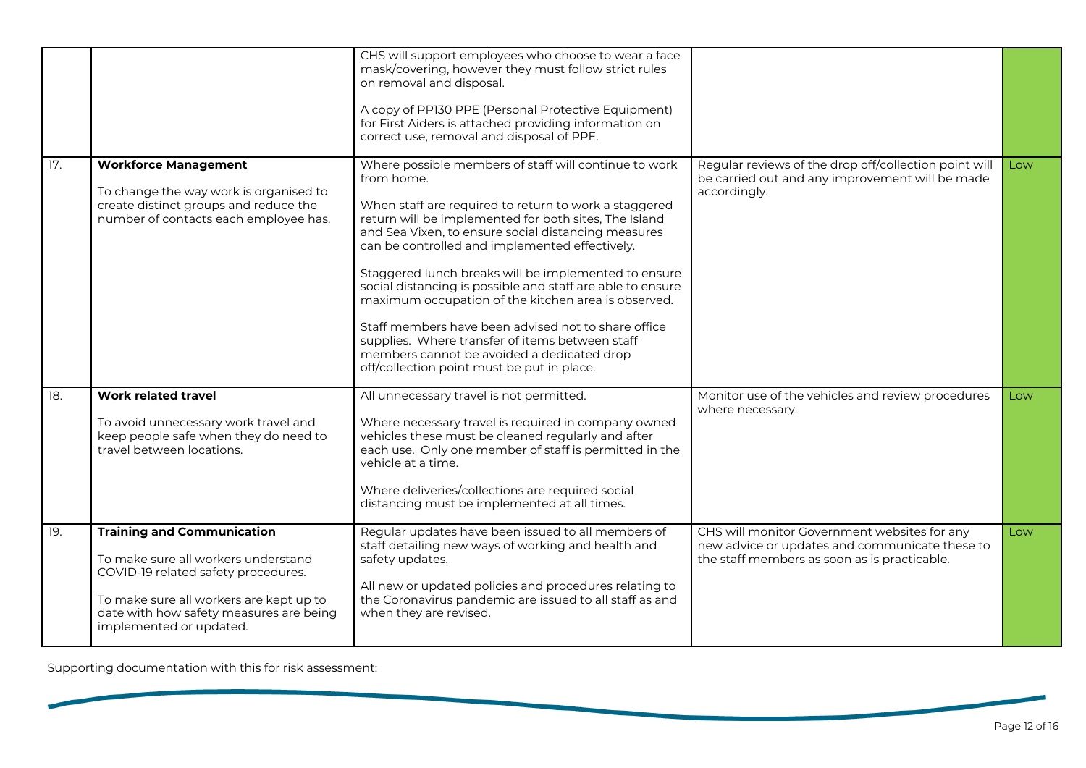|     |                                                                                                                                                                                                                                  | CHS will support employees who choose to wear a face<br>mask/covering, however they must follow strict rules<br>on removal and disposal.<br>A copy of PP130 PPE (Personal Protective Equipment)<br>for First Aiders is attached providing information on<br>correct use, removal and disposal of PPE.                                                                                                                                                                                                                                                                                                                                                                             |                                                                                                                                                |     |
|-----|----------------------------------------------------------------------------------------------------------------------------------------------------------------------------------------------------------------------------------|-----------------------------------------------------------------------------------------------------------------------------------------------------------------------------------------------------------------------------------------------------------------------------------------------------------------------------------------------------------------------------------------------------------------------------------------------------------------------------------------------------------------------------------------------------------------------------------------------------------------------------------------------------------------------------------|------------------------------------------------------------------------------------------------------------------------------------------------|-----|
| 17. | <b>Workforce Management</b><br>To change the way work is organised to<br>create distinct groups and reduce the<br>number of contacts each employee has.                                                                          | Where possible members of staff will continue to work<br>from home.<br>When staff are required to return to work a staggered<br>return will be implemented for both sites, The Island<br>and Sea Vixen, to ensure social distancing measures<br>can be controlled and implemented effectively.<br>Staggered lunch breaks will be implemented to ensure<br>social distancing is possible and staff are able to ensure<br>maximum occupation of the kitchen area is observed.<br>Staff members have been advised not to share office<br>supplies. Where transfer of items between staff<br>members cannot be avoided a dedicated drop<br>off/collection point must be put in place. | Regular reviews of the drop off/collection point will<br>be carried out and any improvement will be made<br>accordingly.                       | Low |
| 18. | <b>Work related travel</b><br>To avoid unnecessary work travel and<br>keep people safe when they do need to<br>travel between locations.                                                                                         | All unnecessary travel is not permitted.<br>Where necessary travel is required in company owned<br>vehicles these must be cleaned regularly and after<br>each use. Only one member of staff is permitted in the<br>vehicle at a time.<br>Where deliveries/collections are required social<br>distancing must be implemented at all times.                                                                                                                                                                                                                                                                                                                                         | Monitor use of the vehicles and review procedures<br>where necessary.                                                                          | Low |
| 19. | <b>Training and Communication</b><br>To make sure all workers understand<br>COVID-19 related safety procedures.<br>To make sure all workers are kept up to<br>date with how safety measures are being<br>implemented or updated. | Regular updates have been issued to all members of<br>staff detailing new ways of working and health and<br>safety updates.<br>All new or updated policies and procedures relating to<br>the Coronavirus pandemic are issued to all staff as and<br>when they are revised.                                                                                                                                                                                                                                                                                                                                                                                                        | CHS will monitor Government websites for any<br>new advice or updates and communicate these to<br>the staff members as soon as is practicable. | Low |

Supporting documentation with this for risk assessment: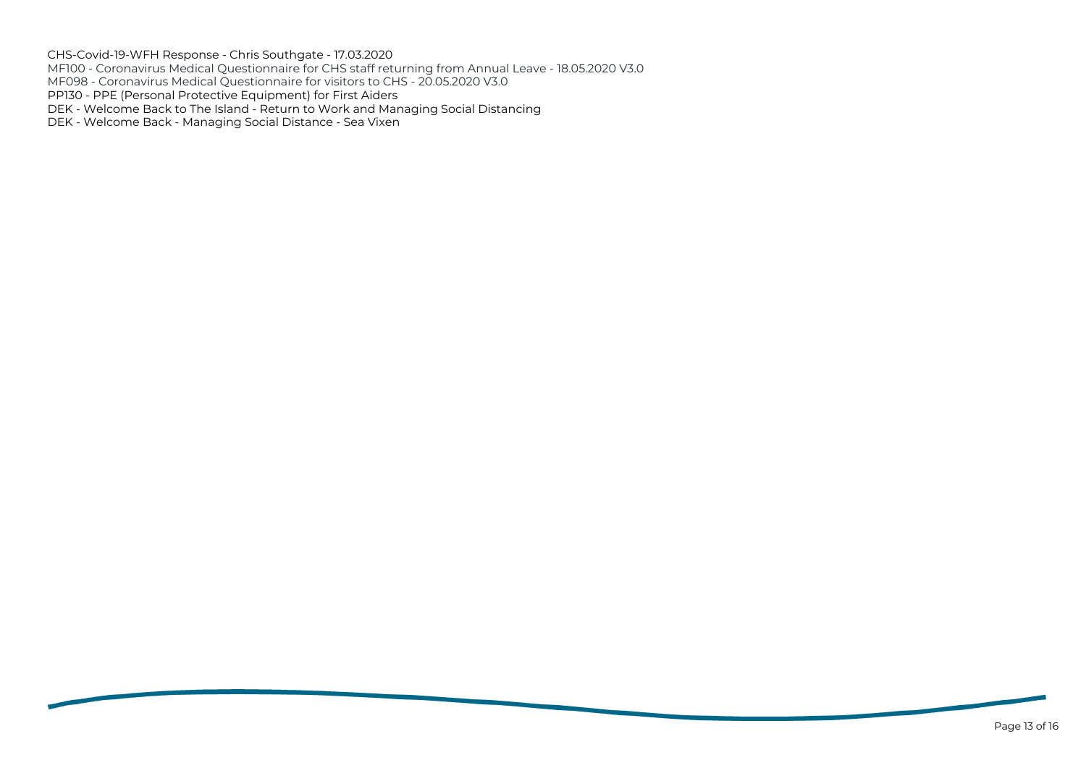CHS-Covid-19-WFH Response - Chris Southgate - 17.03.2020 MF100 - Coronavirus Medical Questionnaire for CHS staff returning from Annual Leave - 18.05.2020 V3.0 MF098 - Coronavirus Medical Questionnaire for visitors to CHS - 20.05.2020 V3.0 PP130 - PPE (Personal Protective Equipment) for First Aiders DEK - Welcome Back to The Island - Return to Work and Managing Social Distancing DEK - Welcome Back - Managing Social Distance - Sea Vixen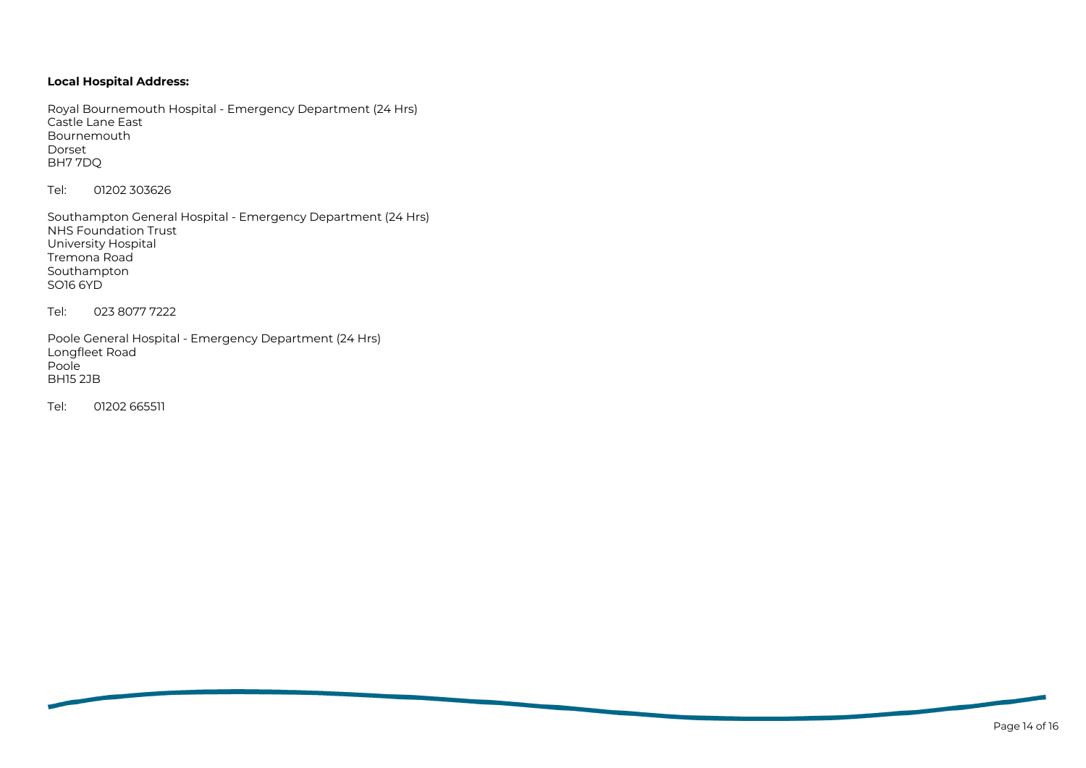# **Local Hospital Address:**

Royal Bournemouth Hospital - Emergency Department (24 Hrs) Castle Lane East Bournemouth Dorset BH7 7DQ

Tel: 01202 303626

Southampton General Hospital - Emergency Department (24 Hrs) NHS Foundation Trust University Hospital Tremona Road Southampton SO16 6YD

Tel: 023 8077 7222

Poole General Hospital - Emergency Department (24 Hrs) Longfleet Road Poole BH15 2JB

Tel: 01202 665511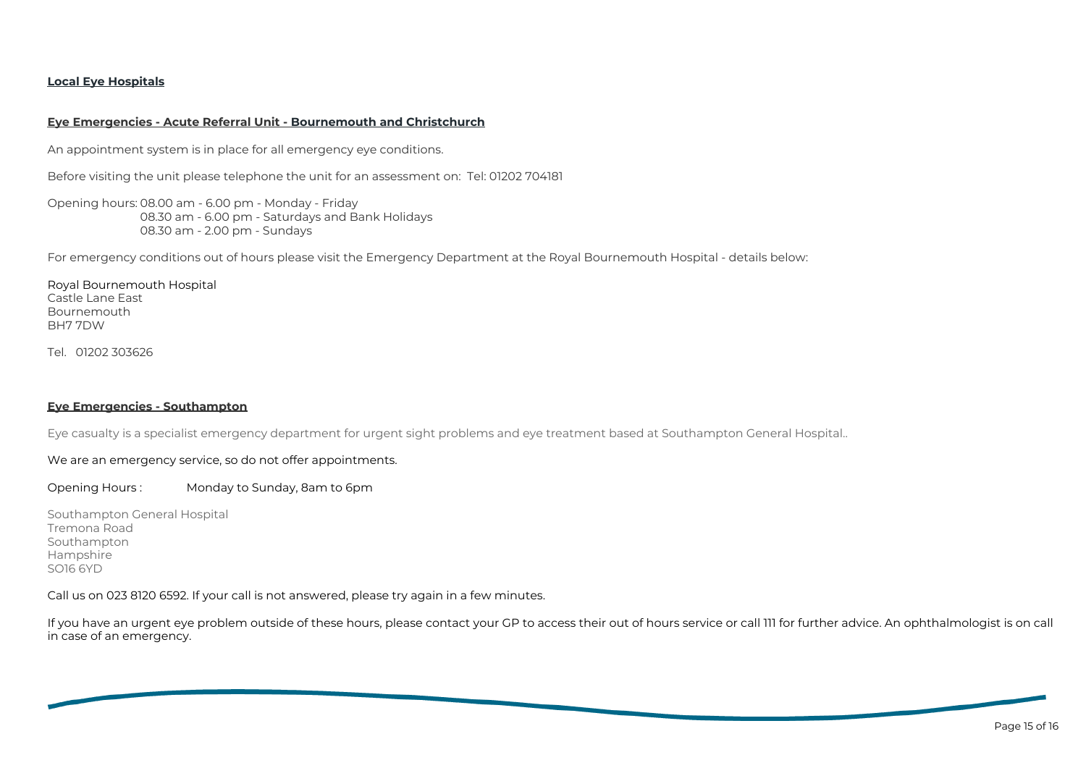## **Local Eye Hospitals**

#### **Eye Emergencies - Acute Referral Unit - Bournemouth and Christchurch**

An appointment system is in place for all emergency eye conditions.

Before visiting the unit please telephone the unit for an assessment on: Tel: 01202 704181

Opening hours: 08.00 am - 6.00 pm - Monday - Friday 08.30 am - 6.00 pm - Saturdays and Bank Holidays 08.30 am - 2.00 pm - Sundays

For emergency conditions out of hours please visit the Emergency Department at the Royal Bournemouth Hospital - details below:

Royal Bournemouth Hospital Castle Lane East Bournemouth BH7 7DW

Tel. 01202 303626

### **Eye Emergencies - Southampton**

Eye casualty is a specialist emergency department for urgent sight problems and eye treatment based at Southampton General Hospital..

## We are an emergency service, so do not offer appointments.

Opening Hours : Monday to Sunday, 8am to 6pm

Southampton General Hospital Tremona Road Southampton Hampshire SO16 6YD

Call us on 023 8120 6592. If your call is not answered, please try again in a few minutes.

If you have an urgent eye problem outside of these hours, please contact your GP to access their out of hours service or call 111 for further advice. An ophthalmologist is on call in case of an emergency.